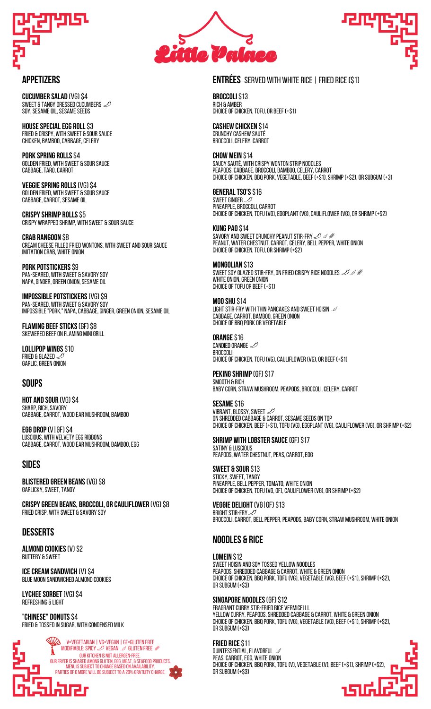

**CUCUMBER SALAD (VG) \$4** SWEET & TANGY DRESSED CUCUMBERS  $\mathcal{D}$ SOY, SESAME OIL, SESAME SEEDS

**HOUSE SPECIAL EGG ROLL \$3** FRIED & CRISPY, WITH SWEET & SOUR SAUCE CHICKEN, BAMBOO, CABBAGE, CELERY

**Pork Spring rolls**\$4 GOLDEN FRIED, WITH SWEET & SOUR SAUCE CABBAGE, TARO, CARROT

**VEGGIESpring rolls**(Vg)\$4 GOLDEN FRIED, WITH SWEET & SOUR SAUCE CABBAGE, CARROT, SESAME OIL

**CRISPY SHRIMP ROLLS \$5** CRISPY WRAPPED SHRIMP, WITH SWEET & SOUR SAUCE

**Crab Rangoon** \$8 CREAM CHEESE FILLED FRIED WONTONS, WITH SWEET AND SOUR SAUCE IMITATION CRAB, WHITE ONION

**PORK POTSTICKERS** \$9 Pan-seareD, with sweet & savory soy NAPA, GINGER, GREEN ONION, SESAME OIL

**IMPOSSIBLE POTSTICKERS (VG) \$9** PAN-SEARED, WITH SWEET & SAVORY SOY Impossible"pork," napa,cabbage,ginger,green onion,sesameoil

**FLAMING BEEF STICKS (GF) \$8** SKEWERED BEEF ON FLAMING MINI GRILL

**lollipop wings**\$10 FRIED & GLAZED  $<$ garlic, green onion

#### **soups**

**HOT AND SOUR (VG) \$4** SHARP, RICH, SAVORY CABBAGE, CARROT, WOOD EAR MUSHROOM, BAMBOO

**Egg Drop**(v|Gf)\$4 LUSCIOUS, WITH VELVETY EGG RIBBONS CABBAGE, CARROT, WOOD EAR MUSHROOM, BAMBOO, EGG

#### **sides**

**Blistered Green Beans**(vg)\$8 GARLICKY, SWEET, TANGY

**CrispyGreen Beans, BROCCOLI,OR CAULIFLOWER** (vg)\$8 friedcrisp, with sweet & SAVORY soy

#### **desserts**

**almond cookies**(v)\$2 Buttery & sweet

**ICE CREAM SANDWICH (V) \$4** blue moon sandwiched almondcookies

LYCHEE SORBET (VG) \$4 Refreshing & light

"**Chinese" Donuts**\$4 Fried & tossedin sugar, with Condensed milk

v=vegetarian | VG=vegan |GF=gluten free MODIFIABLE: SPICY  $\mathcal D$  vegan  $\mathcal O$  gluten free À Our kitchen is not allergen-free. our fryer is shared among gluten, egg, meat, & seafood products. MENU IS SUBJECT TO CHANGE BASED ON AVAILABILITY. PARTIES OF 6 MORE WILL BE SUBJECT TO A 20% GRATUITY CHARGE. arer





# **APPETIZERS** SERVED WITH WHITE RICE | FRIED RICE (\$1)

**BROCCOLI** \$13 Rich & amber choiceofChicken,tofu,orbeef(+\$1)

**Cashew Chicken** \$14 Crunchy cashew sauté broccoli,celery,carrot

**chow mein** \$14 Saucy sauté, with crispy wonton strip noodles PEAPODS, CABBAGE, BROCCOLI, BAMBOO, CELERY, CARROT choice of Chicken, BBQ Pork, Vegetable, Beef (+\$1), Shrimp (+\$2), OR Subgum (+3)

**GENERAL TSO'S S16** SWEET GINGFR PINEAPPLE, BROCCOLL CARROT choiceofchicken,tofu(VG),eggplant(VG),cauliflower(VG),orshrimp(+\$2)

**KUNG PAO \$14** SAVORY AND SWEET CRUNCHY PEANUT STIR-FRY 2008 PEANUT, WATER CHESTNUT, CARROT, CELERY, BELL PEPPER, WHITE ONION choice of chicken, tofu, or shrimp (+\$2)

**Mongolian** \$13 SWEET SOY GLAZED STIR-FRY, ON FRIED CRISPY RICE NOODLES  $\mathscr{QA}$ WHITE ONION, GREEN ONION choiceoftofuorbeef(+\$1)

**mooshu**\$14 LIGHT STIR-FRY WITH THIN PANCAKES AND SWEET HOISIN  $\mathcal D$ CABBAGE, CARROT, BAMBOO, GREEN ONION choiceofbbqpork or vegetable

**ORANGE S16** CANDIED ORANGE broccoli CHOICE OF CHICKEN, TOFU (VG), CAULIFLOWER (VG), OR BEEF (+\$1)

**PEKING SHRIMP (GF) \$17** SMOOTH & RICH BABY CORN, STRAW MUSHROOM, PEAPODS, BROCCOLL CELERY, CARROT

**SESAME** \$16 VIBRANT, GLOSSY, SWEET ON SHREDDED CABBAGE & CARROT, SESAME SEEDS ON TOP CHOICE OF CHICKEN, BEEF (+\$1), TOFU (VG), EGGPLANT (VG), CAULIFLOWER (VG), OR SHRIMP (+\$2)

**Shrimp with Lobster Sauce**(Gf)\$17 satiny & Luscious PEAPODS, WATER CHESTNUT, PEAS, CARROT, EGG

**Sweet & Sour** \$13 STICKY, SWEET, TANGY PINEAPPLE, BELL PEPPER, TOMATO, WHITE ONION CHOICE OF CHICKEN, TOFU (VG, GF), CAULIFLOWER (VG), OR SHRIMP (+\$2)

**Veggie Delight**(vg|Gf)\$13 **BRIGHT STIR-FRY**  $\geq$ BROCCOLI, CARROT, BELL PEPPER, PEAPODS, BABY CORN, STRAW MUSHROOM, WHITE ONION

## **noodles & rice**

**Lomein** \$12

SWEET HOISIN AND SOY TOSSED YELLOW NOODLES peapods,shreddedcabbage & carrot, white & green onion CHOICE OF CHICKEN, BBQ PORK, TOFU (VG), VEGETABLE (VG), BEEF (+\$1), SHRIMP (+\$2), OR SUBGUM (+\$3)

**SINGAPORE NOODLES (GF) \$12** FRAGRANT CURRY STIR-FRIED RICE VERMICELLI. yellow curry,peapods,shreddedcabbage & carrot, white & green onion CHOICE OF CHICKEN, BBQ PORK, TOFU (VG), VEGETABLE (VG), BEEF (+\$1), SHRIMP (+\$2), OR SUBGUM (+\$3)

**Fried Rice**\$11 QUINTESSENTIAL, FLAVORFUL PEAS, CARROT, EGG, WHITE ONION CHOICE OF CHICKEN, BBQ PORK, TOFU (V), VEGETABLE (V), BEEF (+\$1), SHRIMP (+\$2), OR SUBGUM (+\$3)

មេត្រ